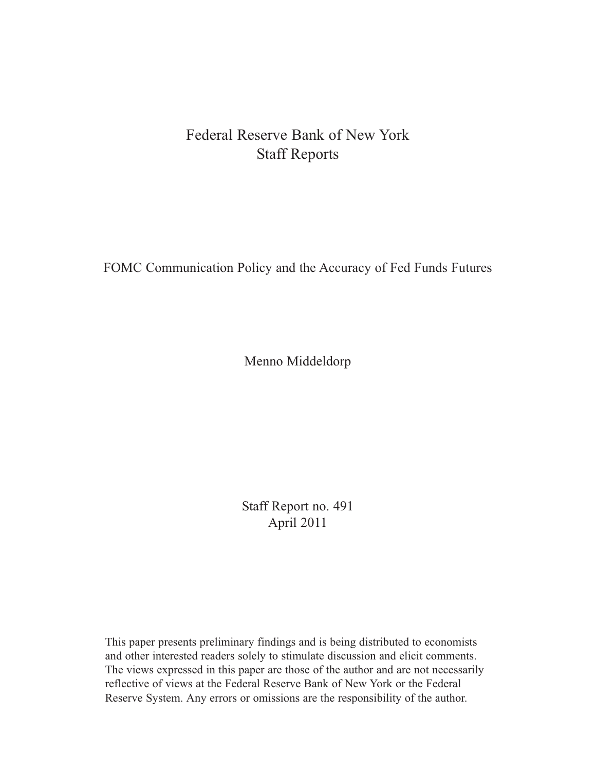# Federal Reserve Bank of New York Staff Reports

FOMC Communication Policy and the Accuracy of Fed Funds Futures

Menno Middeldorp

Staff Report no. 491 April 2011

This paper presents preliminary findings and is being distributed to economists and other interested readers solely to stimulate discussion and elicit comments. The views expressed in this paper are those of the author and are not necessarily reflective of views at the Federal Reserve Bank of New York or the Federal Reserve System. Any errors or omissions are the responsibility of the author.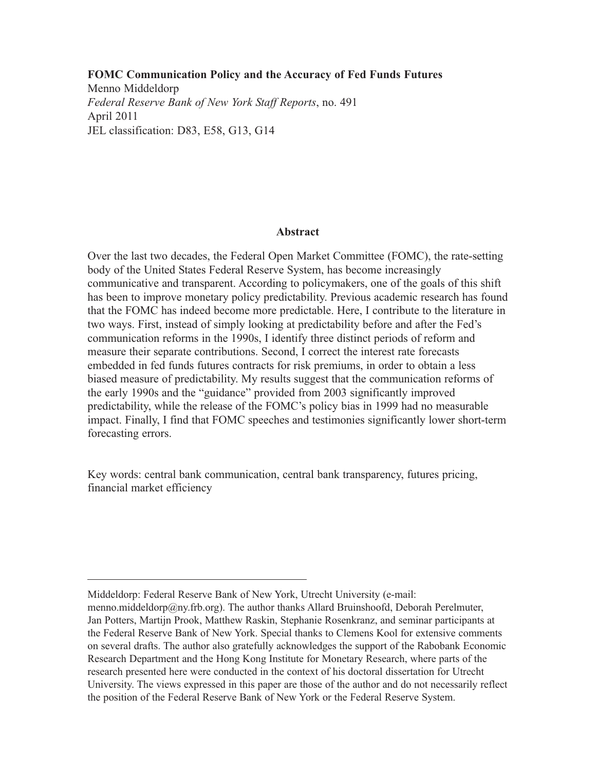**FOMC Communication Policy and the Accuracy of Fed Funds Futures**

Menno Middeldorp *Federal Reserve Bank of New York Staff Reports*, no. 491 April 2011 JEL classification: D83, E58, G13, G14

#### **Abstract**

Over the last two decades, the Federal Open Market Committee (FOMC), the rate-setting body of the United States Federal Reserve System, has become increasingly communicative and transparent. According to policymakers, one of the goals of this shift has been to improve monetary policy predictability. Previous academic research has found that the FOMC has indeed become more predictable. Here, I contribute to the literature in two ways. First, instead of simply looking at predictability before and after the Fed's communication reforms in the 1990s, I identify three distinct periods of reform and measure their separate contributions. Second, I correct the interest rate forecasts embedded in fed funds futures contracts for risk premiums, in order to obtain a less biased measure of predictability. My results suggest that the communication reforms of the early 1990s and the "guidance" provided from 2003 significantly improved predictability, while the release of the FOMC's policy bias in 1999 had no measurable impact. Finally, I find that FOMC speeches and testimonies significantly lower short-term forecasting errors.

Key words: central bank communication, central bank transparency, futures pricing, financial market efficiency

Middeldorp: Federal Reserve Bank of New York, Utrecht University (e-mail:

menno.middeldorp@ny.frb.org). The author thanks Allard Bruinshoofd, Deborah Perelmuter, Jan Potters, Martijn Prook, Matthew Raskin, Stephanie Rosenkranz, and seminar participants at the Federal Reserve Bank of New York. Special thanks to Clemens Kool for extensive comments on several drafts. The author also gratefully acknowledges the support of the Rabobank Economic Research Department and the Hong Kong Institute for Monetary Research, where parts of the research presented here were conducted in the context of his doctoral dissertation for Utrecht University. The views expressed in this paper are those of the author and do not necessarily reflect the position of the Federal Reserve Bank of New York or the Federal Reserve System.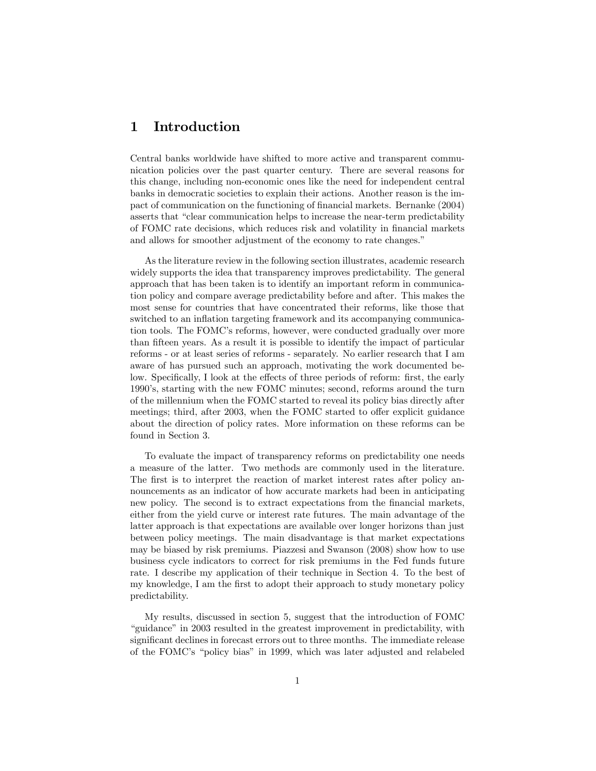### 1 Introduction

Central banks worldwide have shifted to more active and transparent communication policies over the past quarter century. There are several reasons for this change, including non-economic ones like the need for independent central banks in democratic societies to explain their actions. Another reason is the impact of communication on the functioning of financial markets. Bernanke (2004) asserts that "clear communication helps to increase the near-term predictability of FOMC rate decisions, which reduces risk and volatility in Önancial markets and allows for smoother adjustment of the economy to rate changes."

As the literature review in the following section illustrates, academic research widely supports the idea that transparency improves predictability. The general approach that has been taken is to identify an important reform in communication policy and compare average predictability before and after. This makes the most sense for countries that have concentrated their reforms, like those that switched to an inflation targeting framework and its accompanying communication tools. The FOMC's reforms, however, were conducted gradually over more than fifteen years. As a result it is possible to identify the impact of particular reforms - or at least series of reforms - separately. No earlier research that I am aware of has pursued such an approach, motivating the work documented below. Specifically, I look at the effects of three periods of reform: first, the early 1990ís, starting with the new FOMC minutes; second, reforms around the turn of the millennium when the FOMC started to reveal its policy bias directly after meetings; third, after 2003, when the FOMC started to offer explicit guidance about the direction of policy rates. More information on these reforms can be found in Section 3.

To evaluate the impact of transparency reforms on predictability one needs a measure of the latter. Two methods are commonly used in the literature. The first is to interpret the reaction of market interest rates after policy announcements as an indicator of how accurate markets had been in anticipating new policy. The second is to extract expectations from the financial markets, either from the yield curve or interest rate futures. The main advantage of the latter approach is that expectations are available over longer horizons than just between policy meetings. The main disadvantage is that market expectations may be biased by risk premiums. Piazzesi and Swanson (2008) show how to use business cycle indicators to correct for risk premiums in the Fed funds future rate. I describe my application of their technique in Section 4. To the best of my knowledge, I am the first to adopt their approach to study monetary policy predictability.

My results, discussed in section 5, suggest that the introduction of FOMC "guidance" in 2003 resulted in the greatest improvement in predictability, with significant declines in forecast errors out to three months. The immediate release of the FOMC's "policy bias" in 1999, which was later adjusted and relabeled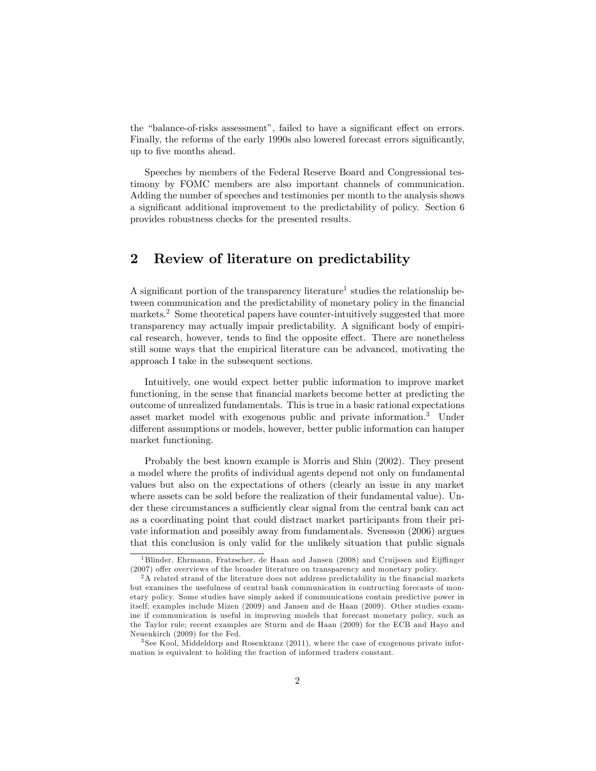the "balance-of-risks assessment", failed to have a significant effect on errors. Finally, the reforms of the early 1990s also lowered forecast errors significantly, up to five months ahead.

Speeches by members of the Federal Reserve Board and Congressional testimony by FOMC members are also important channels of communication. Adding the number of speeches and testimonies per month to the analysis shows a significant additional improvement to the predictability of policy. Section 6 provides robustness checks for the presented results.

### 2 Review of literature on predictability

A significant portion of the transparency literature<sup>1</sup> studies the relationship between communication and the predictability of monetary policy in the financial markets.<sup>2</sup> Some theoretical papers have counter-intuitively suggested that more transparency may actually impair predictability. A significant body of empirical research, however, tends to find the opposite effect. There are nonetheless still some ways that the empirical literature can be advanced, motivating the approach I take in the subsequent sections.

Intuitively, one would expect better public information to improve market functioning, in the sense that financial markets become better at predicting the outcome of unrealized fundamentals. This is true in a basic rational expectations asset market model with exogenous public and private information.<sup>3</sup> Under different assumptions or models, however, better public information can hamper market functioning.

Probably the best known example is Morris and Shin (2002). They present a model where the profits of individual agents depend not only on fundamental values but also on the expectations of others (clearly an issue in any market where assets can be sold before the realization of their fundamental value). Under these circumstances a sufficiently clear signal from the central bank can act as a coordinating point that could distract market participants from their private information and possibly away from fundamentals. Svensson (2006) argues that this conclusion is only valid for the unlikely situation that public signals

 $1B$ linder, Ehrmann, Fratzscher, de Haan and Jansen (2008) and Cruijssen and Eijffinger  $(2007)$  offer overviews of the broader literature on transparency and monetary policy.

 $2A$  related strand of the literature does not address predictability in the financial markets but examines the usefulness of central bank communication in contructing forecasts of monetary policy. Some studies have simply asked if communications contain predictive power in itself; examples include Mizen (2009) and Jansen and de Haan (2009). Other studies examine if communication is useful in improving models that forecast monetary policy, such as the Taylor rule; recent examples are Sturm and de Haan (2009) for the ECB and Hayo and Neuenkirch (2009) for the Fed.

<sup>&</sup>lt;sup>3</sup> See Kool, Middeldorp and Rosenkranz  $(2011)$ , where the case of exogenous private information is equivalent to holding the fraction of informed traders constant.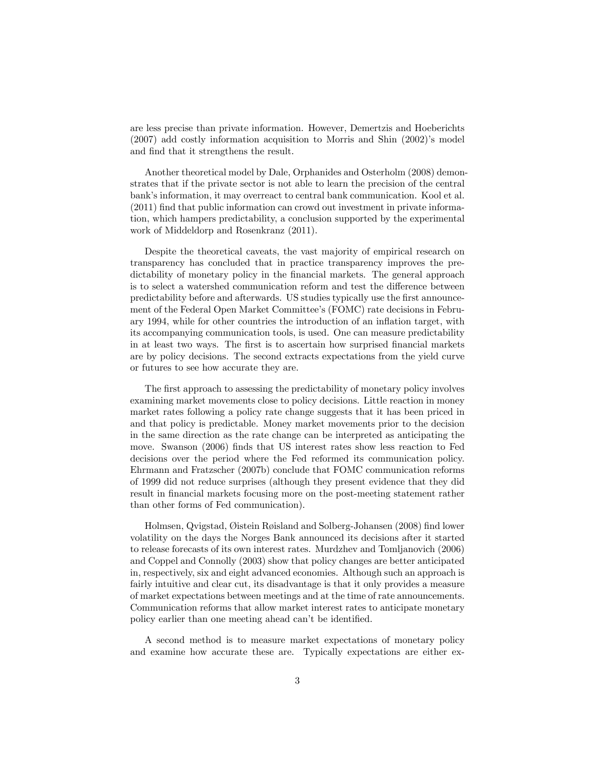are less precise than private information. However, Demertzis and Hoeberichts  $(2007)$  add costly information acquisition to Morris and Shin  $(2002)$ 's model and find that it strengthens the result.

Another theoretical model by Dale, Orphanides and Osterholm (2008) demonstrates that if the private sector is not able to learn the precision of the central bank's information, it may overreact to central bank communication. Kool et al.  $(2011)$  find that public information can crowd out investment in private information, which hampers predictability, a conclusion supported by the experimental work of Middeldorp and Rosenkranz (2011).

Despite the theoretical caveats, the vast majority of empirical research on transparency has concluded that in practice transparency improves the predictability of monetary policy in the financial markets. The general approach is to select a watershed communication reform and test the difference between predictability before and afterwards. US studies typically use the Örst announcement of the Federal Open Market Committee's (FOMC) rate decisions in February 1994, while for other countries the introduction of an inflation target, with its accompanying communication tools, is used. One can measure predictability in at least two ways. The first is to ascertain how surprised financial markets are by policy decisions. The second extracts expectations from the yield curve or futures to see how accurate they are.

The first approach to assessing the predictability of monetary policy involves examining market movements close to policy decisions. Little reaction in money market rates following a policy rate change suggests that it has been priced in and that policy is predictable. Money market movements prior to the decision in the same direction as the rate change can be interpreted as anticipating the move. Swanson (2006) finds that US interest rates show less reaction to Fed decisions over the period where the Fed reformed its communication policy. Ehrmann and Fratzscher (2007b) conclude that FOMC communication reforms of 1999 did not reduce surprises (although they present evidence that they did result in Önancial markets focusing more on the post-meeting statement rather than other forms of Fed communication).

Holmsen, Qvigstad, Øistein Røisland and Solberg-Johansen (2008) find lower volatility on the days the Norges Bank announced its decisions after it started to release forecasts of its own interest rates. Murdzhev and Tomljanovich (2006) and Coppel and Connolly (2003) show that policy changes are better anticipated in, respectively, six and eight advanced economies. Although such an approach is fairly intuitive and clear cut, its disadvantage is that it only provides a measure of market expectations between meetings and at the time of rate announcements. Communication reforms that allow market interest rates to anticipate monetary policy earlier than one meeting ahead can't be identified.

A second method is to measure market expectations of monetary policy and examine how accurate these are. Typically expectations are either ex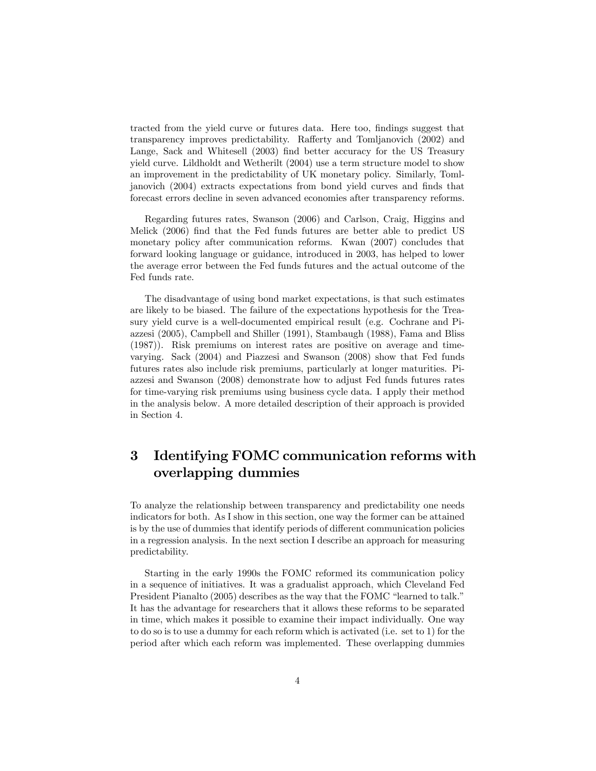tracted from the yield curve or futures data. Here too, findings suggest that transparency improves predictability. Rafferty and Tomljanovich (2002) and Lange, Sack and Whitesell (2003) find better accuracy for the US Treasury yield curve. Lildholdt and Wetherilt (2004) use a term structure model to show an improvement in the predictability of UK monetary policy. Similarly, Tomljanovich (2004) extracts expectations from bond yield curves and finds that forecast errors decline in seven advanced economies after transparency reforms.

Regarding futures rates, Swanson (2006) and Carlson, Craig, Higgins and Melick (2006) Önd that the Fed funds futures are better able to predict US monetary policy after communication reforms. Kwan (2007) concludes that forward looking language or guidance, introduced in 2003, has helped to lower the average error between the Fed funds futures and the actual outcome of the Fed funds rate.

The disadvantage of using bond market expectations, is that such estimates are likely to be biased. The failure of the expectations hypothesis for the Treasury yield curve is a well-documented empirical result (e.g. Cochrane and Piazzesi (2005), Campbell and Shiller (1991), Stambaugh (1988), Fama and Bliss (1987)). Risk premiums on interest rates are positive on average and timevarying. Sack (2004) and Piazzesi and Swanson (2008) show that Fed funds futures rates also include risk premiums, particularly at longer maturities. Piazzesi and Swanson (2008) demonstrate how to adjust Fed funds futures rates for time-varying risk premiums using business cycle data. I apply their method in the analysis below. A more detailed description of their approach is provided in Section 4.

## 3 Identifying FOMC communication reforms with overlapping dummies

To analyze the relationship between transparency and predictability one needs indicators for both. As I show in this section, one way the former can be attained is by the use of dummies that identify periods of different communication policies in a regression analysis. In the next section I describe an approach for measuring predictability.

Starting in the early 1990s the FOMC reformed its communication policy in a sequence of initiatives. It was a gradualist approach, which Cleveland Fed President Pianalto  $(2005)$  describes as the way that the FOMC  $\degree$ learned to talk.<sup>"</sup> It has the advantage for researchers that it allows these reforms to be separated in time, which makes it possible to examine their impact individually. One way to do so is to use a dummy for each reform which is activated (i.e. set to 1) for the period after which each reform was implemented. These overlapping dummies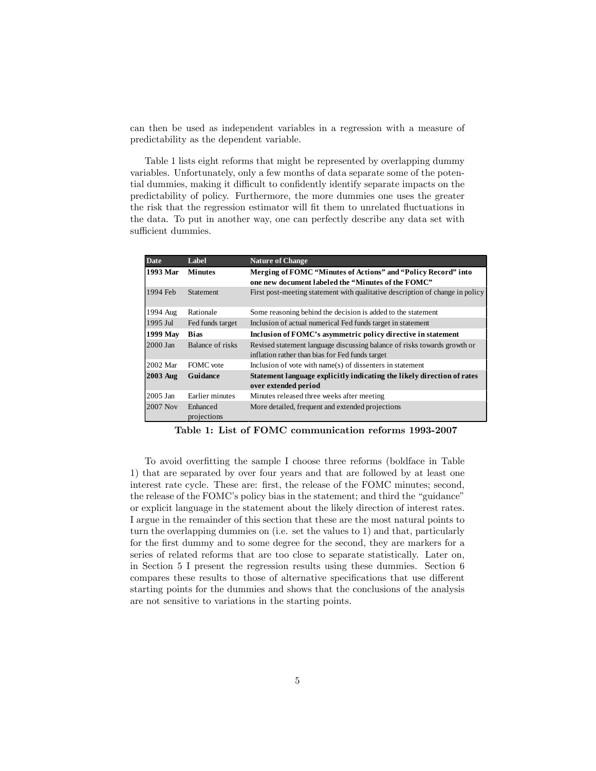can then be used as independent variables in a regression with a measure of predictability as the dependent variable.

Table 1 lists eight reforms that might be represented by overlapping dummy variables. Unfortunately, only a few months of data separate some of the potential dummies, making it difficult to confidently identify separate impacts on the predictability of policy. Furthermore, the more dummies one uses the greater the risk that the regression estimator will fit them to unrelated fluctuations in the data. To put in another way, one can perfectly describe any data set with sufficient dummies.

| Date            | Label                   | <b>Nature of Change</b>                                                                        |
|-----------------|-------------------------|------------------------------------------------------------------------------------------------|
| 1993 Mar        | <b>Minutes</b>          | Merging of FOMC "Minutes of Actions" and "Policy Record" into                                  |
|                 |                         | one new document labeled the "Minutes of the FOMC"                                             |
| 1994 Feb        | <b>Statement</b>        | First post-meeting statement with qualitative description of change in policy                  |
| 1994 Aug        | Rationale               | Some reasoning behind the decision is added to the statement                                   |
| 1995 Jul        | Fed funds target        | Inclusion of actual numerical Fed funds target in statement                                    |
| 1999 May        | <b>Bias</b>             | Inclusion of FOMC's asymmetric policy directive in statement                                   |
| $2000$ Jan      | Balance of risks        | Revised statement language discussing balance of risks towards growth or                       |
|                 |                         | inflation rather than bias for Fed funds target                                                |
| 2002 Mar        | FOMC vote               | Inclusion of vote with name(s) of dissenters in statement                                      |
| <b>2003 Aug</b> | Guidance                | Statement language explicitly indicating the likely direction of rates<br>over extended period |
| 2005 Jan        | Earlier minutes         | Minutes released three weeks after meeting                                                     |
| 2007 Nov        | Enhanced<br>projections | More detailed, frequent and extended projections                                               |

Table 1: List of FOMC communication reforms 1993-2007

To avoid overfitting the sample I choose three reforms (boldface in Table 1) that are separated by over four years and that are followed by at least one interest rate cycle. These are: first, the release of the FOMC minutes; second, the release of the FOMC's policy bias in the statement; and third the "guidance" or explicit language in the statement about the likely direction of interest rates. I argue in the remainder of this section that these are the most natural points to turn the overlapping dummies on (i.e. set the values to 1) and that, particularly for the first dummy and to some degree for the second, they are markers for a series of related reforms that are too close to separate statistically. Later on, in Section 5 I present the regression results using these dummies. Section 6 compares these results to those of alternative specifications that use different starting points for the dummies and shows that the conclusions of the analysis are not sensitive to variations in the starting points.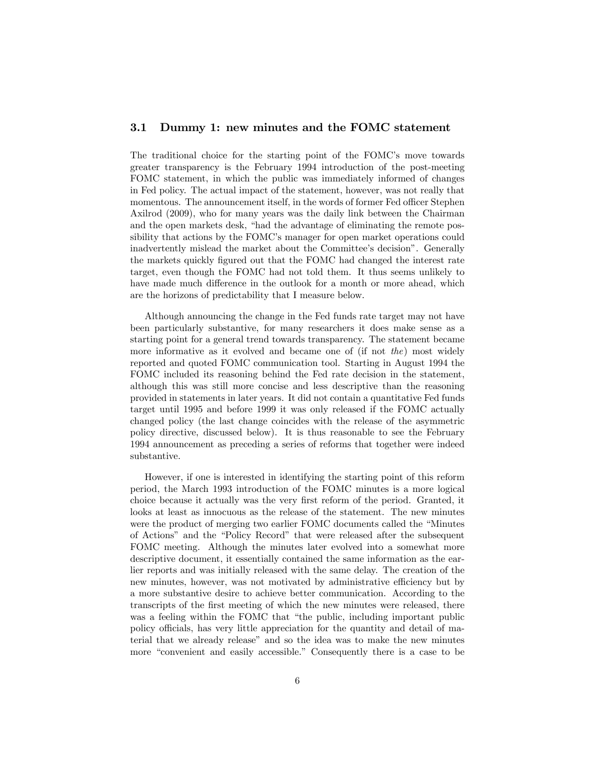#### 3.1 Dummy 1: new minutes and the FOMC statement

The traditional choice for the starting point of the FOMC's move towards greater transparency is the February 1994 introduction of the post-meeting FOMC statement, in which the public was immediately informed of changes in Fed policy. The actual impact of the statement, however, was not really that momentous. The announcement itself, in the words of former Fed officer Stephen Axilrod (2009), who for many years was the daily link between the Chairman and the open markets desk, "had the advantage of eliminating the remote possibility that actions by the FOMC's manager for open market operations could inadvertently mislead the market about the Committee's decision". Generally the markets quickly figured out that the FOMC had changed the interest rate target, even though the FOMC had not told them. It thus seems unlikely to have made much difference in the outlook for a month or more ahead, which are the horizons of predictability that I measure below.

Although announcing the change in the Fed funds rate target may not have been particularly substantive, for many researchers it does make sense as a starting point for a general trend towards transparency. The statement became more informative as it evolved and became one of (if not the) most widely reported and quoted FOMC communication tool. Starting in August 1994 the FOMC included its reasoning behind the Fed rate decision in the statement, although this was still more concise and less descriptive than the reasoning provided in statements in later years. It did not contain a quantitative Fed funds target until 1995 and before 1999 it was only released if the FOMC actually changed policy (the last change coincides with the release of the asymmetric policy directive, discussed below). It is thus reasonable to see the February 1994 announcement as preceding a series of reforms that together were indeed substantive.

However, if one is interested in identifying the starting point of this reform period, the March 1993 introduction of the FOMC minutes is a more logical choice because it actually was the very first reform of the period. Granted, it looks at least as innocuous as the release of the statement. The new minutes were the product of merging two earlier FOMC documents called the "Minutes" of Actions" and the "Policy Record" that were released after the subsequent FOMC meeting. Although the minutes later evolved into a somewhat more descriptive document, it essentially contained the same information as the earlier reports and was initially released with the same delay. The creation of the new minutes, however, was not motivated by administrative efficiency but by a more substantive desire to achieve better communication. According to the transcripts of the first meeting of which the new minutes were released, there was a feeling within the FOMC that "the public, including important public policy o¢ cials, has very little appreciation for the quantity and detail of material that we already release" and so the idea was to make the new minutes more "convenient and easily accessible." Consequently there is a case to be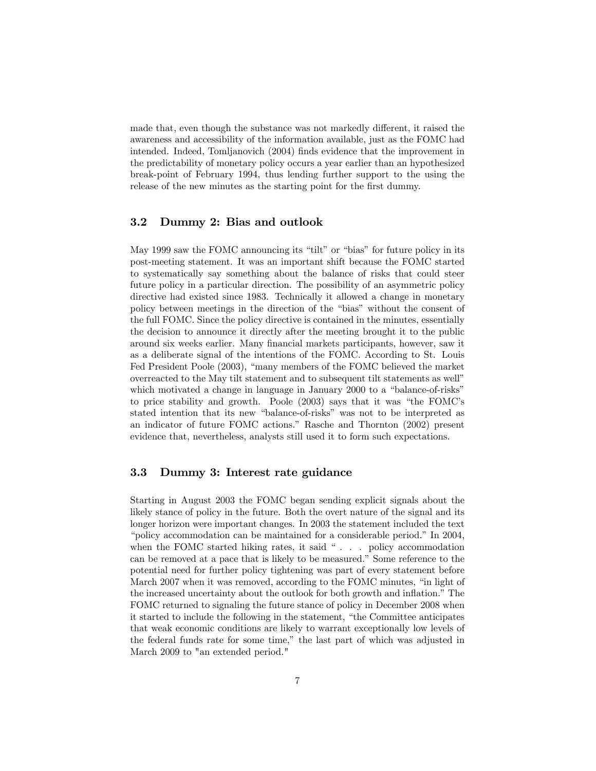made that, even though the substance was not markedly different, it raised the awareness and accessibility of the information available, just as the FOMC had intended. Indeed, Tomljanovich (2004) finds evidence that the improvement in the predictability of monetary policy occurs a year earlier than an hypothesized break-point of February 1994, thus lending further support to the using the release of the new minutes as the starting point for the first dummy.

#### 3.2 Dummy 2: Bias and outlook

May 1999 saw the FOMC announcing its "tilt" or "bias" for future policy in its post-meeting statement. It was an important shift because the FOMC started to systematically say something about the balance of risks that could steer future policy in a particular direction. The possibility of an asymmetric policy directive had existed since 1983. Technically it allowed a change in monetary policy between meetings in the direction of the "bias" without the consent of the full FOMC. Since the policy directive is contained in the minutes, essentially the decision to announce it directly after the meeting brought it to the public around six weeks earlier. Many Önancial markets participants, however, saw it as a deliberate signal of the intentions of the FOMC. According to St. Louis Fed President Poole (2003), "many members of the FOMC believed the market overreacted to the May tilt statement and to subsequent tilt statements as wellî which motivated a change in language in January 2000 to a "balance-of-risks" to price stability and growth. Poole  $(2003)$  says that it was "the FOMC's stated intention that its new "balance-of-risks" was not to be interpreted as an indicator of future FOMC actions.î Rasche and Thornton (2002) present evidence that, nevertheless, analysts still used it to form such expectations.

#### 3.3 Dummy 3: Interest rate guidance

Starting in August 2003 the FOMC began sending explicit signals about the likely stance of policy in the future. Both the overt nature of the signal and its longer horizon were important changes. In 2003 the statement included the text "policy accommodation can be maintained for a considerable period." In 2004, when the FOMC started hiking rates, it said  $\degree$  . . . policy accommodation can be removed at a pace that is likely to be measured." Some reference to the potential need for further policy tightening was part of every statement before March 2007 when it was removed, according to the FOMC minutes, "in light of the increased uncertainty about the outlook for both growth and inflation." The FOMC returned to signaling the future stance of policy in December 2008 when it started to include the following in the statement, "the Committee anticipates" that weak economic conditions are likely to warrant exceptionally low levels of the federal funds rate for some time," the last part of which was adjusted in March 2009 to "an extended period."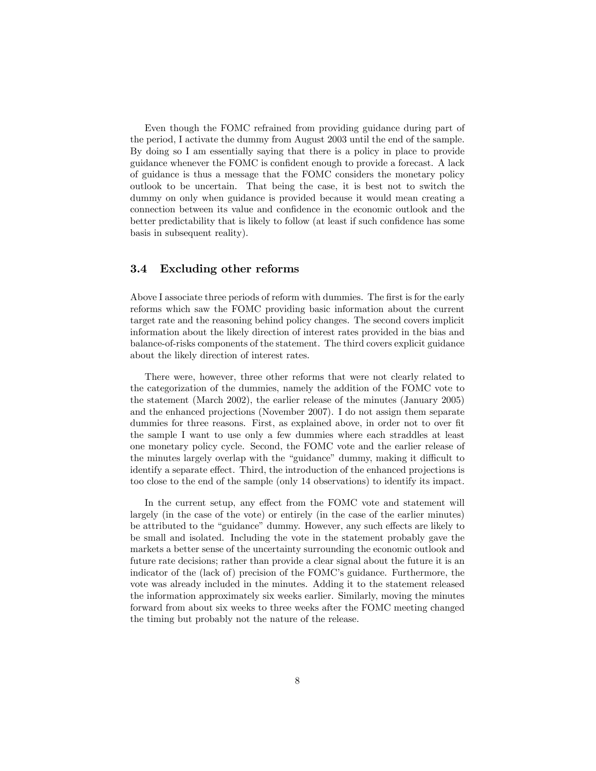Even though the FOMC refrained from providing guidance during part of the period, I activate the dummy from August 2003 until the end of the sample. By doing so I am essentially saying that there is a policy in place to provide guidance whenever the FOMC is confident enough to provide a forecast. A lack of guidance is thus a message that the FOMC considers the monetary policy outlook to be uncertain. That being the case, it is best not to switch the dummy on only when guidance is provided because it would mean creating a connection between its value and confidence in the economic outlook and the better predictability that is likely to follow (at least if such confidence has some basis in subsequent reality).

#### 3.4 Excluding other reforms

Above I associate three periods of reform with dummies. The first is for the early reforms which saw the FOMC providing basic information about the current target rate and the reasoning behind policy changes. The second covers implicit information about the likely direction of interest rates provided in the bias and balance-of-risks components of the statement. The third covers explicit guidance about the likely direction of interest rates.

There were, however, three other reforms that were not clearly related to the categorization of the dummies, namely the addition of the FOMC vote to the statement (March 2002), the earlier release of the minutes (January 2005) and the enhanced projections (November 2007). I do not assign them separate dummies for three reasons. First, as explained above, in order not to over fit the sample I want to use only a few dummies where each straddles at least one monetary policy cycle. Second, the FOMC vote and the earlier release of the minutes largely overlap with the "guidance" dummy, making it difficult to identify a separate effect. Third, the introduction of the enhanced projections is too close to the end of the sample (only 14 observations) to identify its impact.

In the current setup, any effect from the FOMC vote and statement will largely (in the case of the vote) or entirely (in the case of the earlier minutes) be attributed to the "guidance" dummy. However, any such effects are likely to be small and isolated. Including the vote in the statement probably gave the markets a better sense of the uncertainty surrounding the economic outlook and future rate decisions; rather than provide a clear signal about the future it is an indicator of the (lack of) precision of the FOMC's guidance. Furthermore, the vote was already included in the minutes. Adding it to the statement released the information approximately six weeks earlier. Similarly, moving the minutes forward from about six weeks to three weeks after the FOMC meeting changed the timing but probably not the nature of the release.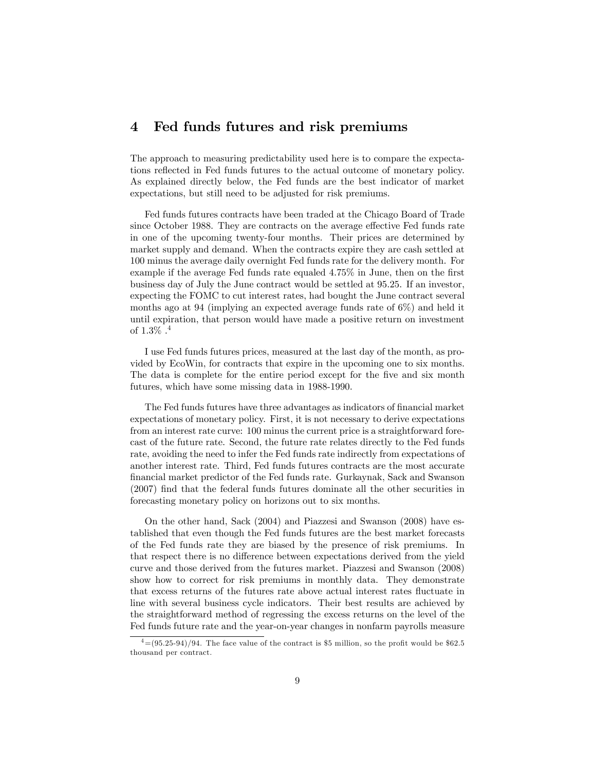### 4 Fed funds futures and risk premiums

The approach to measuring predictability used here is to compare the expectations reflected in Fed funds futures to the actual outcome of monetary policy. As explained directly below, the Fed funds are the best indicator of market expectations, but still need to be adjusted for risk premiums.

Fed funds futures contracts have been traded at the Chicago Board of Trade since October 1988. They are contracts on the average effective Fed funds rate in one of the upcoming twenty-four months. Their prices are determined by market supply and demand. When the contracts expire they are cash settled at 100 minus the average daily overnight Fed funds rate for the delivery month. For example if the average Fed funds rate equaled  $4.75\%$  in June, then on the first business day of July the June contract would be settled at 95.25. If an investor, expecting the FOMC to cut interest rates, had bought the June contract several months ago at 94 (implying an expected average funds rate of 6%) and held it until expiration, that person would have made a positive return on investment of  $1.3\%$ .<sup>4</sup>

I use Fed funds futures prices, measured at the last day of the month, as provided by EcoWin, for contracts that expire in the upcoming one to six months. The data is complete for the entire period except for the five and six month futures, which have some missing data in 1988-1990.

The Fed funds futures have three advantages as indicators of financial market expectations of monetary policy. First, it is not necessary to derive expectations from an interest rate curve: 100 minus the current price is a straightforward forecast of the future rate. Second, the future rate relates directly to the Fed funds rate, avoiding the need to infer the Fed funds rate indirectly from expectations of another interest rate. Third, Fed funds futures contracts are the most accurate Önancial market predictor of the Fed funds rate. Gurkaynak, Sack and Swanson (2007) Önd that the federal funds futures dominate all the other securities in forecasting monetary policy on horizons out to six months.

On the other hand, Sack (2004) and Piazzesi and Swanson (2008) have established that even though the Fed funds futures are the best market forecasts of the Fed funds rate they are biased by the presence of risk premiums. In that respect there is no difference between expectations derived from the yield curve and those derived from the futures market. Piazzesi and Swanson (2008) show how to correct for risk premiums in monthly data. They demonstrate that excess returns of the futures rate above actual interest rates fluctuate in line with several business cycle indicators. Their best results are achieved by the straightforward method of regressing the excess returns on the level of the Fed funds future rate and the year-on-year changes in nonfarm payrolls measure

 $\frac{4}{9}$ =(95.25-94)/94. The face value of the contract is \$5 million, so the profit would be \$62.5 thousand per contract.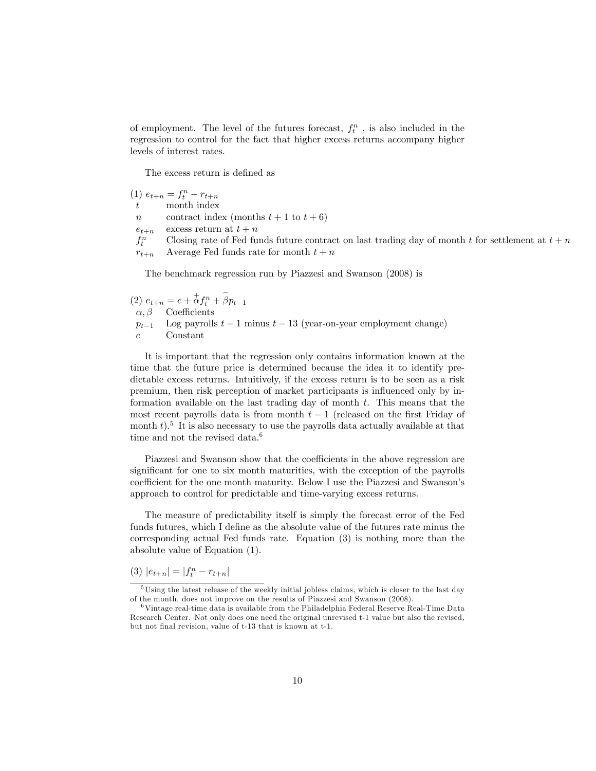of employment. The level of the futures forecast,  $f_t^n$ , is also included in the regression to control for the fact that higher excess returns accompany higher levels of interest rates.

The excess return is defined as

|                | $(1) e_{t+n} = f_t^n - r_{t+n}$                                                                    |
|----------------|----------------------------------------------------------------------------------------------------|
| t              | month index                                                                                        |
| $\overline{n}$ | contract index (months $t+1$ to $t+6$ )                                                            |
| $e_{t+n}$      | excess return at $t+n$                                                                             |
| $f^n_{\mu}$    | Closing rate of Fed funds future contract on last trading day of month t for settlement at $t + n$ |
| $r_{t+n}$      | Average Fed funds rate for month $t + n$                                                           |

The benchmark regression run by Piazzesi and Swanson (2008) is

(2) 
$$
e_{t+n} = c + \stackrel{+}{\alpha} f_t^n + \stackrel{-}{\beta} p_{t-1}
$$
  
\n $\alpha, \beta$  Coefficients  
\n $p_{t-1}$  Log payrolls  $t-1$  minus  $t-13$  (year-on-year employment change)  
\n*c* Constant

It is important that the regression only contains information known at the time that the future price is determined because the idea it to identify predictable excess returns. Intuitively, if the excess return is to be seen as a risk premium, then risk perception of market participants is influenced only by information available on the last trading day of month  $t$ . This means that the most recent payrolls data is from month  $t-1$  (released on the first Friday of month  $t$ ).<sup>5</sup> It is also necessary to use the payrolls data actually available at that time and not the revised data.<sup>6</sup>

Piazzesi and Swanson show that the coefficients in the above regression are significant for one to six month maturities, with the exception of the payrolls coefficient for the one month maturity. Below I use the Piazzesi and Swanson's approach to control for predictable and time-varying excess returns.

The measure of predictability itself is simply the forecast error of the Fed funds futures, which I define as the absolute value of the futures rate minus the corresponding actual Fed funds rate. Equation (3) is nothing more than the absolute value of Equation (1).

(3)  $|e_{t+n}| = |f_t^n - r_{t+n}|$ 

<sup>5</sup>Using the latest release of the weekly initial jobless claims, which is closer to the last day of the month, does not improve on the results of Piazzesi and Swanson (2008).

<sup>6</sup>Vintage real-time data is available from the Philadelphia Federal Reserve Real-Time Data Research Center. Not only does one need the original unrevised t-1 value but also the revised, but not final revision, value of t-13 that is known at t-1.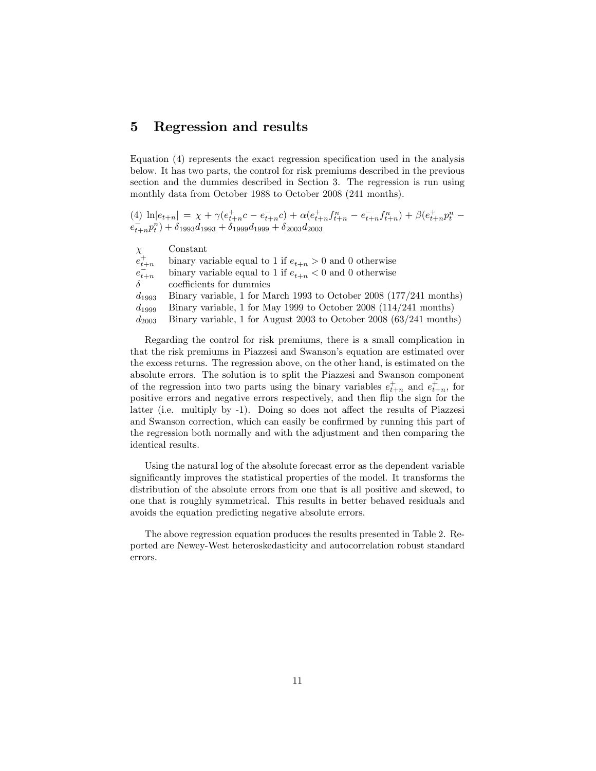### 5 Regression and results

Equation  $(4)$  represents the exact regression specification used in the analysis below. It has two parts, the control for risk premiums described in the previous section and the dummies described in Section 3. The regression is run using monthly data from October 1988 to October 2008 (241 months).

(4)  $\ln |e_{t+n}| = \chi + \gamma (e_{t+n}^+ c - e_{t+n}^- c) + \alpha (e_{t+n}^+ f_{t+n}^n - e_{t+n}^- f_{t+n}^n) + \beta (e_{t+n}^+ p_t^n$  $e_{t+n}^{-}p_{t}^{n}$  +  $\delta_{1993}d_{1993} + \delta_{1999}d_{1999} + \delta_{2003}d_{2003}$ 

| $\chi$      | Constant                                                           |
|-------------|--------------------------------------------------------------------|
| $e_{t+n}^+$ | binary variable equal to 1 if $e_{t+n} > 0$ and 0 otherwise        |
| $e_{t+n}^-$ | binary variable equal to 1 if $e_{t+n} < 0$ and 0 otherwise        |
| $\delta$    | coefficients for dummies                                           |
| $d_{1993}$  | Binary variable, 1 for March 1993 to October 2008 (177/241 months) |
| $d_{1999}$  | Binary variable, 1 for May 1999 to October 2008 (114/241 months)   |
| $d_{2003}$  | Binary variable, 1 for August 2003 to October 2008 (63/241 months) |

Regarding the control for risk premiums, there is a small complication in that the risk premiums in Piazzesi and Swanson's equation are estimated over the excess returns. The regression above, on the other hand, is estimated on the absolute errors. The solution is to split the Piazzesi and Swanson component of the regression into two parts using the binary variables  $e_{t+n}^+$  and  $e_{t+n}^+$ , for positive errors and negative errors respectively, and then áip the sign for the latter (i.e. multiply by -1). Doing so does not affect the results of Piazzesi and Swanson correction, which can easily be confirmed by running this part of the regression both normally and with the adjustment and then comparing the identical results.

Using the natural log of the absolute forecast error as the dependent variable significantly improves the statistical properties of the model. It transforms the distribution of the absolute errors from one that is all positive and skewed, to one that is roughly symmetrical. This results in better behaved residuals and avoids the equation predicting negative absolute errors.

The above regression equation produces the results presented in Table 2. Reported are Newey-West heteroskedasticity and autocorrelation robust standard errors.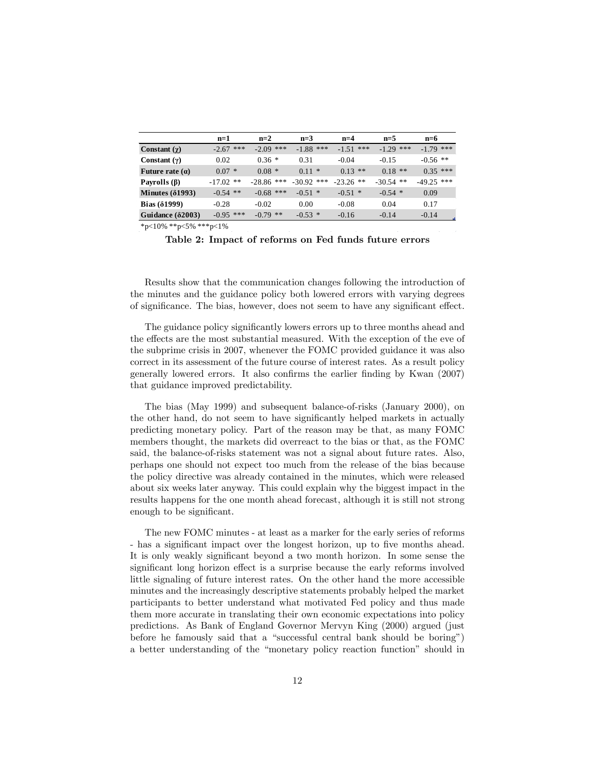|                          | $n=1$       | $n=2$        | $n=3$        | $n=4$       | $n=5$       | $n=6$        |
|--------------------------|-------------|--------------|--------------|-------------|-------------|--------------|
| Constant $(\chi)$        | $-2.67$ *** | $-2.09$ ***  | $-1.88$ ***  | $-1.51$ *** | $-1.29$ *** | $-1.79$ ***  |
| Constant $(\gamma)$      | 0.02        | $0.36*$      | 0.31         | $-0.04$     | $-0.15$     | $-0.56$ **   |
| Future rate $(a)$        | $0.07 *$    | $0.08*$      | $0.11 *$     | $0.13$ **   | $0.18$ **   | $0.35$ ***   |
| Payrolls $(\beta)$       | $-17.02$ ** | $-28.86$ *** | $-30.92$ *** | $-23.26$ ** | $-30.54$ ** | $-49.25$ *** |
| Minutes $(\delta1993)$   | $-0.54$ **  | $-0.68$ ***  | $-0.51$ *    | $-0.51$ *   | $-0.54$ *   | 0.09         |
| Bias $(\delta1999)$      | $-0.28$     | $-0.02$      | 0.00         | $-0.08$     | 0.04        | 0.17         |
| Guidance $(\delta 2003)$ | $-0.95$ *** | $-0.79$ **   | $-0.53$ *    | $-0.16$     | $-0.14$     | $-0.14$      |

\*p<10% \*\*p<5% \*\*\*p<1%

Table 2: Impact of reforms on Fed funds future errors

Results show that the communication changes following the introduction of the minutes and the guidance policy both lowered errors with varying degrees of significance. The bias, however, does not seem to have any significant effect.

The guidance policy significantly lowers errors up to three months ahead and the effects are the most substantial measured. With the exception of the eve of the subprime crisis in 2007, whenever the FOMC provided guidance it was also correct in its assessment of the future course of interest rates. As a result policy generally lowered errors. It also confirms the earlier finding by Kwan (2007) that guidance improved predictability.

The bias (May 1999) and subsequent balance-of-risks (January 2000), on the other hand, do not seem to have significantly helped markets in actually predicting monetary policy. Part of the reason may be that, as many FOMC members thought, the markets did overreact to the bias or that, as the FOMC said, the balance-of-risks statement was not a signal about future rates. Also, perhaps one should not expect too much from the release of the bias because the policy directive was already contained in the minutes, which were released about six weeks later anyway. This could explain why the biggest impact in the results happens for the one month ahead forecast, although it is still not strong enough to be significant.

The new FOMC minutes - at least as a marker for the early series of reforms - has a significant impact over the longest horizon, up to five months ahead. It is only weakly significant beyond a two month horizon. In some sense the significant long horizon effect is a surprise because the early reforms involved little signaling of future interest rates. On the other hand the more accessible minutes and the increasingly descriptive statements probably helped the market participants to better understand what motivated Fed policy and thus made them more accurate in translating their own economic expectations into policy predictions. As Bank of England Governor Mervyn King (2000) argued (just before he famously said that a "successful central bank should be boring") a better understanding of the "monetary policy reaction function" should in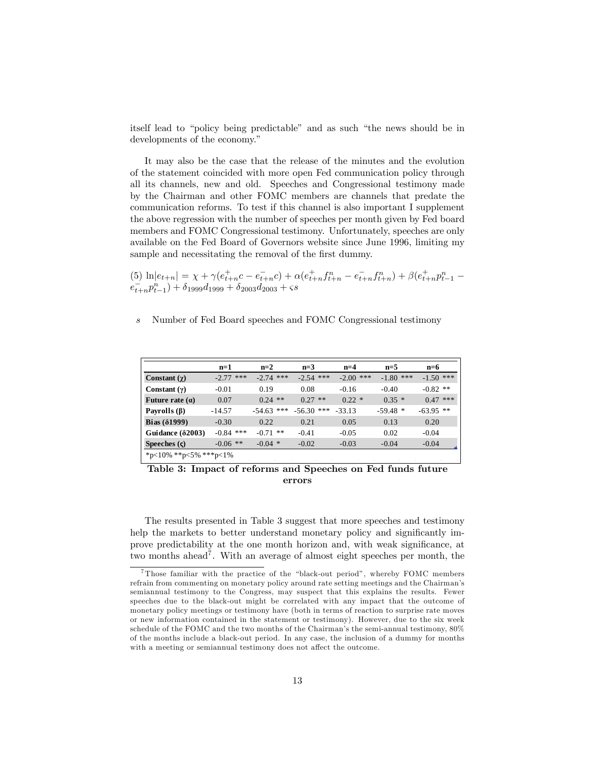itself lead to "policy being predictable" and as such "the news should be in developments of the economy."

It may also be the case that the release of the minutes and the evolution of the statement coincided with more open Fed communication policy through all its channels, new and old. Speeches and Congressional testimony made by the Chairman and other FOMC members are channels that predate the communication reforms. To test if this channel is also important I supplement the above regression with the number of speeches per month given by Fed board members and FOMC Congressional testimony. Unfortunately, speeches are only available on the Fed Board of Governors website since June 1996, limiting my sample and necessitating the removal of the first dummy.

(5)  $\ln |e_{t+n}| = \chi + \gamma (e_{t+n}^+ c - e_{t+n}^- c) + \alpha (e_{t+n}^+ f_{t+n}^n - e_{t+n}^- f_{t+n}^n) + \beta (e_{t+n}^+ p_{t-1}^n - e_{t+n}^- p_{t-1}^n) + \delta_{1999} d_{1999} + \delta_{2003} d_{2003} + s$ 

#### s Number of Fed Board speeches and FOMC Congressional testimony

|                          | $n=1$       | $n=2$        | $n=3$        | $n=4$       | $n=5$       | $n=6$       |  |  |
|--------------------------|-------------|--------------|--------------|-------------|-------------|-------------|--|--|
| Constant $(\gamma)$      | $-2.77$ *** | $-2.74$ ***  | $-2.54$ ***  | $-2.00$ *** | $-1.80$ *** | $-1.50$ *** |  |  |
| Constant $(\gamma)$      | $-0.01$     | 0.19         | 0.08         | $-0.16$     | $-0.40$     | $-0.82$ **  |  |  |
| Future rate $(a)$        | 0.07        | $0.24$ **    | $0.27$ **    | $0.22 *$    | $0.35*$     | $0.47$ ***  |  |  |
| Payrolls $(\beta)$       | $-14.57$    | $-54.63$ *** | $-56.30$ *** | $-33.13$    | $-59.48*$   | $-63.95$ ** |  |  |
| Bias $(\delta1999)$      | $-0.30$     | 0.22         | 0.21         | 0.05        | 0.13        | 0.20        |  |  |
| Guidance $(\delta 2003)$ | $-0.84$ *** | $-0.71$ **   | $-0.41$      | $-0.05$     | 0.02        | $-0.04$     |  |  |
| Speeches $(\varsigma)$   | $-0.06$ **  | $-0.04$ *    | $-0.02$      | $-0.03$     | $-0.04$     | $-0.04$     |  |  |
| *p<10% **p<5% ***p<1%    |             |              |              |             |             |             |  |  |

Table 3: Impact of reforms and Speeches on Fed funds future errors

The results presented in Table 3 suggest that more speeches and testimony help the markets to better understand monetary policy and significantly improve predictability at the one month horizon and, with weak significance, at two months ahead<sup>7</sup>. With an average of almost eight speeches per month, the

 $7$ Those familiar with the practice of the "black-out period", whereby FOMC members refrain from commenting on monetary policy around rate setting meetings and the Chairman's semiannual testimony to the Congress, may suspect that this explains the results. Fewer speeches due to the black-out might be correlated with any impact that the outcome of monetary policy meetings or testimony have (both in terms of reaction to surprise rate moves or new information contained in the statement or testimony). However, due to the six week schedule of the FOMC and the two months of the Chairman's the semi-annual testimony,  $80\%$ of the months include a black-out period. In any case, the inclusion of a dummy for months with a meeting or semiannual testimony does not affect the outcome.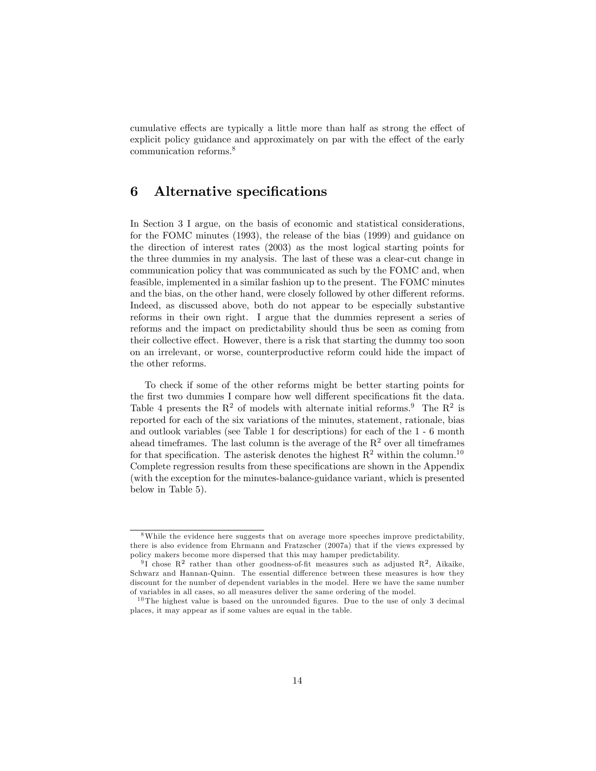cumulative effects are typically a little more than half as strong the effect of explicit policy guidance and approximately on par with the effect of the early communication reforms.<sup>8</sup>

### 6 Alternative specifications

In Section 3 I argue, on the basis of economic and statistical considerations, for the FOMC minutes (1993), the release of the bias (1999) and guidance on the direction of interest rates (2003) as the most logical starting points for the three dummies in my analysis. The last of these was a clear-cut change in communication policy that was communicated as such by the FOMC and, when feasible, implemented in a similar fashion up to the present. The FOMC minutes and the bias, on the other hand, were closely followed by other different reforms. Indeed, as discussed above, both do not appear to be especially substantive reforms in their own right. I argue that the dummies represent a series of reforms and the impact on predictability should thus be seen as coming from their collective effect. However, there is a risk that starting the dummy too soon on an irrelevant, or worse, counterproductive reform could hide the impact of the other reforms.

To check if some of the other reforms might be better starting points for the first two dummies I compare how well different specifications fit the data. Table 4 presents the  $\mathbb{R}^2$  of models with alternate initial reforms.<sup>9</sup> The  $\mathbb{R}^2$  is reported for each of the six variations of the minutes, statement, rationale, bias and outlook variables (see Table 1 for descriptions) for each of the 1 - 6 month ahead timeframes. The last column is the average of the  $R<sup>2</sup>$  over all timeframes for that specification. The asterisk denotes the highest  $R^2$  within the column.<sup>10</sup> Complete regression results from these specifications are shown in the Appendix (with the exception for the minutes-balance-guidance variant, which is presented below in Table 5).

<sup>8</sup>While the evidence here suggests that on average more speeches improve predictability, there is also evidence from Ehrmann and Fratzscher (2007a) that if the views expressed by policy makers become more dispersed that this may hamper predictability.

<sup>&</sup>lt;sup>9</sup>I chose  $\mathbb{R}^2$  rather than other goodness-of-fit measures such as adjusted  $\mathbb{R}^2$ , Aikaike, Schwarz and Hannan-Quinn. The essential difference between these measures is how they discount for the number of dependent variables in the model. Here we have the same number of variables in all cases, so all measures deliver the same ordering of the model.

 $10$  The highest value is based on the unrounded figures. Due to the use of only 3 decimal places, it may appear as if some values are equal in the table.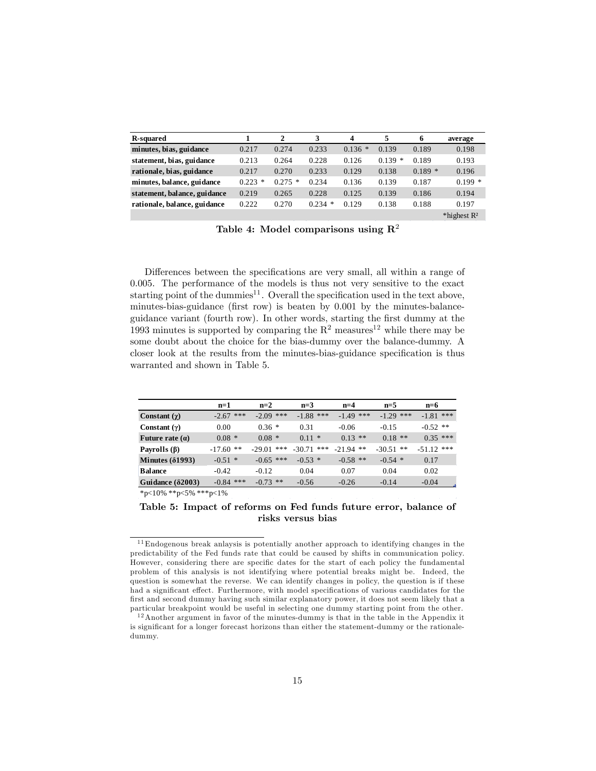| <b>R-squared</b>             |            | 2         | 3         | $\overline{\mathbf{4}}$ | 5        | 6        | average        |
|------------------------------|------------|-----------|-----------|-------------------------|----------|----------|----------------|
| minutes, bias, guidance      | 0.217      | 0.274     | 0.233     | $0.136*$                | 0.139    | 0.189    | 0.198          |
| statement, bias, guidance    | 0.213      | 0.264     | 0.228     | 0.126                   | $0.139*$ | 0.189    | 0.193          |
| rationale, bias, guidance    | 0.217      | 0.270     | 0.233     | 0.129                   | 0.138    | $0.189*$ | 0.196          |
| minutes, balance, guidance   | 0.223<br>* | $0.275$ * | 0.234     | 0.136                   | 0.139    | 0.187    | $0.199*$       |
| statement, balance, guidance | 0.219      | 0.265     | 0.228     | 0.125                   | 0.139    | 0.186    | 0.194          |
| rationale, balance, guidance | 0.222      | 0.270     | $0.234$ * | 0.129                   | 0.138    | 0.188    | 0.197          |
|                              |            |           |           |                         |          |          | *highest $R^2$ |

Table 4: Model comparisons using  $\mathbb{R}^2$ 

Differences between the specifications are very small, all within a range of 0.005. The performance of the models is thus not very sensitive to the exact starting point of the dummies $^{11}$ . Overall the specification used in the text above, minutes-bias-guidance (first row) is beaten by  $0.001$  by the minutes-balanceguidance variant (fourth row). In other words, starting the Örst dummy at the 1993 minutes is supported by comparing the  $R^2$  measures<sup>12</sup> while there may be some doubt about the choice for the bias-dummy over the balance-dummy. A closer look at the results from the minutes-bias-guidance specification is thus warranted and shown in Table 5.

|                          | $n=1$          | $n=2$        | $n=3$        | $n=4$       | $n=5$       | $n=6$        |
|--------------------------|----------------|--------------|--------------|-------------|-------------|--------------|
| Constant $(\chi)$        | ***<br>$-2.67$ | $-2.09$ ***  | $-1.88$ ***  | $-1.49$ *** | $-1.29$ *** | $-1.81$ ***  |
| Constant $(y)$           | 0.00           | $0.36*$      | 0.31         | $-0.06$     | $-0.15$     | $-0.52$ **   |
| Future rate $(a)$        | $0.08*$        | $0.08*$      | $0.11 *$     | $0.13$ **   | $0.18$ **   | $0.35$ ***   |
| Payrolls $(\beta)$       | $-17.60$ **    | $-29.01$ *** | $-30.71$ *** | $-21.94$ ** | $-30.51$ ** | $-51.12$ *** |
| Minutes $(\delta1993)$   | $-0.51$ *      | $-0.65$ ***  | $-0.53*$     | $-0.58$ **  | $-0.54$ *   | 0.17         |
| <b>Balance</b>           | $-0.42$        | $-0.12$      | 0.04         | 0.07        | 0.04        | 0.02         |
| Guidance $(\delta 2003)$ | $-0.84$ ***    | $-0.73$ **   | $-0.56$      | $-0.26$     | $-0.14$     | $-0.04$      |

\*p<10% \*\*p<5% \*\*\*p<1%

Table 5: Impact of reforms on Fed funds future error, balance of risks versus bias

 $^{11}\mathrm{End}$  ogenous break anlaysis is potentially another approach to identifying changes in the predictability of the Fed funds rate that could be caused by shifts in communication policy. However, considering there are specific dates for the start of each policy the fundamental problem of this analysis is not identifying where potential breaks might be. Indeed, the question is somewhat the reverse. We can identify changes in policy, the question is if these had a significant effect. Furthermore, with model specifications of various candidates for the first and second dummy having such similar explanatory power, it does not seem likely that a particular breakpoint would be useful in selecting one dummy starting point from the other.

 $12$ Another argument in favor of the minutes-dummy is that in the table in the Appendix it is significant for a longer forecast horizons than either the statement-dummy or the rationaledummy.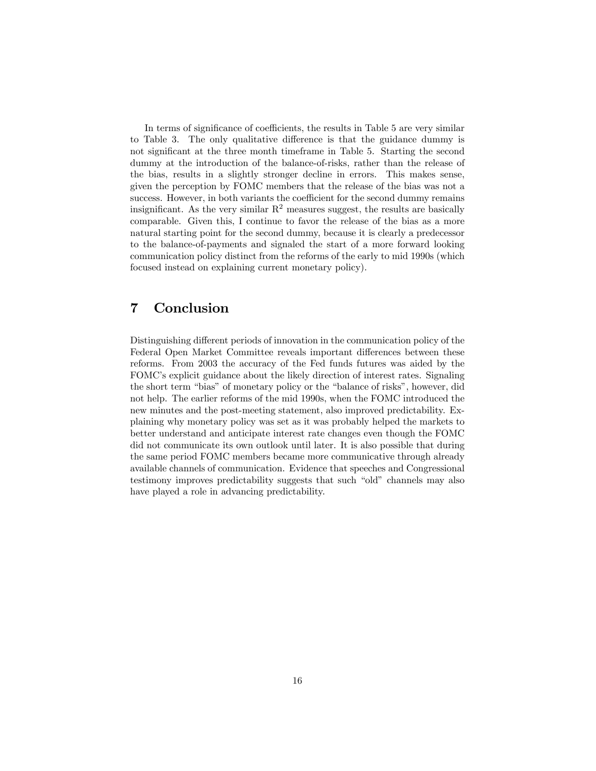In terms of significance of coefficients, the results in Table 5 are very similar to Table 3. The only qualitative difference is that the guidance dummy is not significant at the three month timeframe in Table 5. Starting the second dummy at the introduction of the balance-of-risks, rather than the release of the bias, results in a slightly stronger decline in errors. This makes sense, given the perception by FOMC members that the release of the bias was not a success. However, in both variants the coefficient for the second dummy remains insignificant. As the very similar  $R^2$  measures suggest, the results are basically comparable. Given this, I continue to favor the release of the bias as a more natural starting point for the second dummy, because it is clearly a predecessor to the balance-of-payments and signaled the start of a more forward looking communication policy distinct from the reforms of the early to mid 1990s (which focused instead on explaining current monetary policy).

### 7 Conclusion

Distinguishing different periods of innovation in the communication policy of the Federal Open Market Committee reveals important differences between these reforms. From 2003 the accuracy of the Fed funds futures was aided by the FOMC's explicit guidance about the likely direction of interest rates. Signaling the short term "bias" of monetary policy or the "balance of risks", however, did not help. The earlier reforms of the mid 1990s, when the FOMC introduced the new minutes and the post-meeting statement, also improved predictability. Explaining why monetary policy was set as it was probably helped the markets to better understand and anticipate interest rate changes even though the FOMC did not communicate its own outlook until later. It is also possible that during the same period FOMC members became more communicative through already available channels of communication. Evidence that speeches and Congressional testimony improves predictability suggests that such "old" channels may also have played a role in advancing predictability.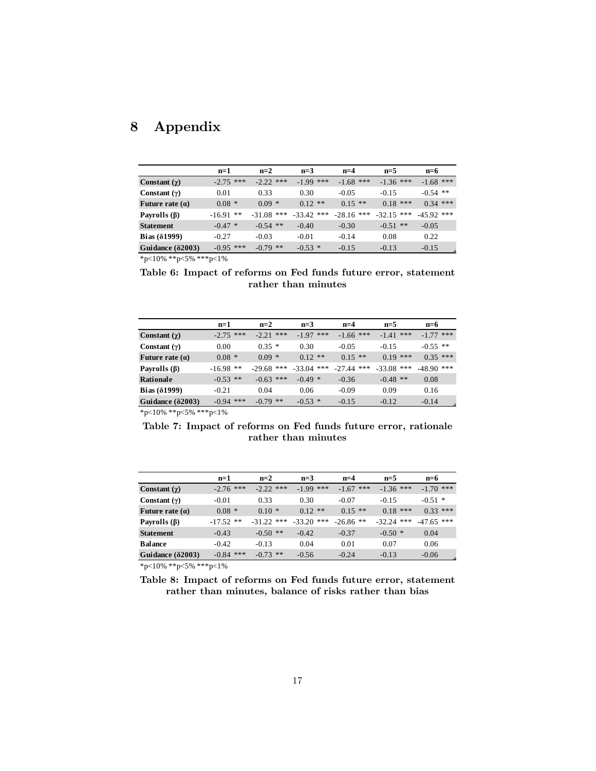# 8 Appendix

|                                                                                                                                                                                       | $n=1$       | $n=2$        | $n=3$        | $n=4$        | $n=5$        | $n=6$        |
|---------------------------------------------------------------------------------------------------------------------------------------------------------------------------------------|-------------|--------------|--------------|--------------|--------------|--------------|
| Constant $(\gamma)$                                                                                                                                                                   | $-2.75$ *** | $-2.22$ ***  | $-1.99$ ***  | $-1.68$ ***  | $-1.36$ ***  | $-1.68$ ***  |
| Constant $(\gamma)$                                                                                                                                                                   | 0.01        | 0.33         | 0.30         | $-0.05$      | $-0.15$      | $-0.54$ **   |
| Future rate $(a)$                                                                                                                                                                     | $0.08*$     | $0.09 *$     | $0.12$ **    | $0.15$ **    | $0.18$ ***   | $0.34$ ***   |
| Payrolls $(\beta)$                                                                                                                                                                    | $-16.91$ ** | $-31.08$ *** | $-33.42$ *** | $-28.16$ *** | $-32.15$ *** | $-45.92$ *** |
| <b>Statement</b>                                                                                                                                                                      | $-0.47$ *   | $-0.54$ **   | $-0.40$      | $-0.30$      | $-0.51$ **   | $-0.05$      |
| Bias $(\delta1999)$                                                                                                                                                                   | $-0.27$     | $-0.03$      | $-0.01$      | $-0.14$      | 0.08         | 0.22         |
| Guidance $(\delta 2003)$                                                                                                                                                              | $-0.95$ *** | $-0.79$ **   | $-0.53$ *    | $-0.15$      | $-0.13$      | $-0.15$      |
| $\mathcal{L} = \{(\mathbf{0}, \mathbf{0}) \mid \mathcal{L}(\mathbf{0}) = \mathbf{0}\}$ , $(\mathbf{0}, \mathbf{0}, \mathbf{0})$ , $(\mathbf{0}, \mathbf{0}, \mathbf{0}) = \mathbf{0}$ |             |              |              |              |              |              |

\*p<10% \*\*p<5% \*\*\*p<1%

Table 6: Impact of reforms on Fed funds future error, statement rather than minutes

|                          | $n=1$       | $n=2$        | $n=3$        | $n=4$        | $n=5$        | $n=6$        |
|--------------------------|-------------|--------------|--------------|--------------|--------------|--------------|
| Constant $(\chi)$        | $-2.75$ *** | $-2.21$ ***  | $-1.97$ ***  | $-1.66$ ***  | $-1.41$ ***  | $-1.77$ ***  |
| Constant $(\gamma)$      | 0.00        | $0.35*$      | 0.30         | $-0.05$      | $-0.15$      | $-0.55$ **   |
| Future rate $(a)$        | $0.08 *$    | $0.09*$      | $0.12$ **    | $0.15**$     | $0.19$ ***   | $0.35***$    |
| Payrolls $(\beta)$       | $-16.98$ ** | $-29.68$ *** | $-33.04$ *** | $-27.44$ *** | $-33.08$ *** | $-48.90$ *** |
| Rationale                | $-0.53$ **  | $-0.63$ ***  | $-0.49*$     | $-0.36$      | $-0.48$ **   | 0.08         |
| Bias $(\delta1999)$      | $-0.21$     | 0.04         | 0.06         | $-0.09$      | 0.09         | 0.16         |
| Guidance $(\delta 2003)$ | $-0.94$ *** | $-0.79$ **   | $-0.53$ *    | $-0.15$      | $-0.12$      | $-0.14$      |

 $\mbox{*p<}10\%$  \*\*p<5% \*\*\*p<1%

Table 7: Impact of reforms on Fed funds future error, rationale rather than minutes

|                          | $n=1$       | $n=2$        | $n=3$        | $n=4$       | $n=5$        | $n=6$        |
|--------------------------|-------------|--------------|--------------|-------------|--------------|--------------|
| Constant $(\gamma)$      | $-2.76$ *** | $-2.22$ ***  | $-1.99$ ***  | $-1.67$ *** | $-1.36$ ***  | $-1.70$ ***  |
| Constant $(\gamma)$      | $-0.01$     | 0.33         | 0.30         | $-0.07$     | $-0.15$      | $-0.51$ *    |
| Future rate $(a)$        | $0.08*$     | $0.10*$      | $0.12$ **    | $0.15$ **   | $0.18$ ***   | $0.33***$    |
| Payrolls $(\beta)$       | $-17.52$ ** | $-31.22$ *** | $-33.20$ *** | $-26.86$ ** | $-32.24$ *** | $-47.65$ *** |
| <b>Statement</b>         | $-0.43$     | $-0.50$ **   | $-0.42$      | $-0.37$     | $-0.50*$     | 0.04         |
| <b>Balance</b>           | $-0.42$     | $-0.13$      | 0.04         | 0.01        | 0.07         | 0.06         |
| Guidance $(\delta 2003)$ | $-0.84$ *** | $-0.73$ **   | $-0.56$      | $-0.24$     | $-0.13$      | $-0.06$      |

 $^*\text{p}<\hspace{-0.05cm}10\%$  \*\*p<5% \*\*\*p<1%

Table 8: Impact of reforms on Fed funds future error, statement rather than minutes, balance of risks rather than bias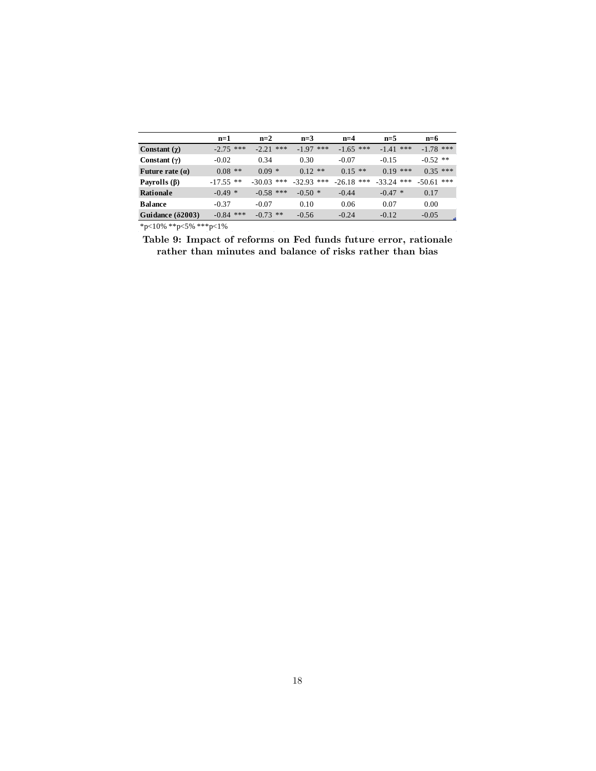|                          | $n=1$       | $n=2$        | $n=3$        | $n=4$        | $n=5$        | $n=6$        |
|--------------------------|-------------|--------------|--------------|--------------|--------------|--------------|
| Constant $(\chi)$        | $-2.75$ *** | $-2.21$ ***  | $-1.97$ ***  | $-1.65$ ***  | $-1.41$ ***  | $-1.78$ ***  |
| Constant $(\gamma)$      | $-0.02$     | 0.34         | 0.30         | $-0.07$      | $-0.15$      | $-0.52$ **   |
| Future rate $(a)$        | $0.08$ **   | $0.09 *$     | $0.12$ **    | $0.15$ **    | $0.19$ ***   | $0.35***$    |
| Payrolls $(\beta)$       | $-17.55$ ** | $-30.03$ *** | $-32.93$ *** | $-26.18$ *** | $-33.24$ *** | $-50.61$ *** |
| Rationale                | $-0.49*$    | $-0.58$ ***  | $-0.50*$     | $-0.44$      | $-0.47$ *    | 0.17         |
| <b>Balance</b>           | $-0.37$     | $-0.07$      | 0.10         | 0.06         | 0.07         | 0.00         |
| Guidance $(\delta 2003)$ | $-0.84$ *** | $-0.73$ **   | $-0.56$      | $-0.24$      | $-0.12$      | $-0.05$      |

\*p<10% \*\*p<5% \*\*\*p<1%

Table 9: Impact of reforms on Fed funds future error, rationale rather than minutes and balance of risks rather than bias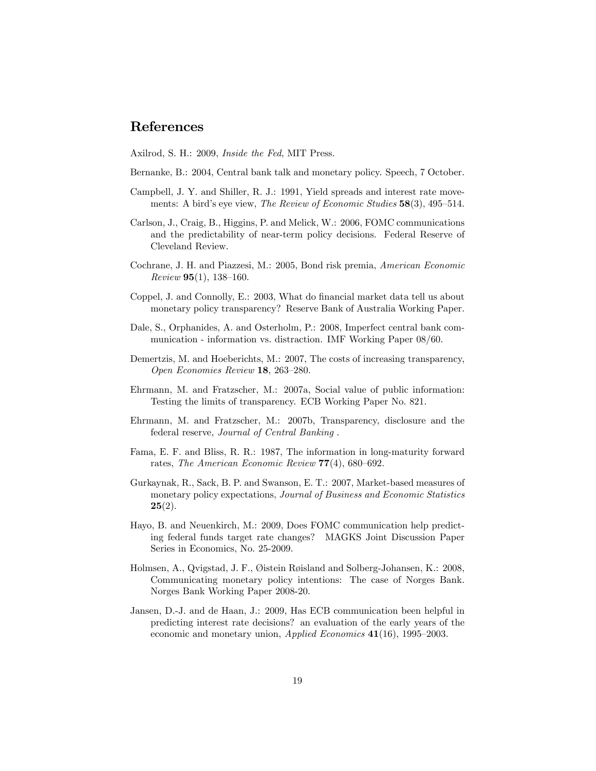### References

Axilrod, S. H.: 2009, Inside the Fed, MIT Press.

- Bernanke, B.: 2004, Central bank talk and monetary policy. Speech, 7 October.
- Campbell, J. Y. and Shiller, R. J.: 1991, Yield spreads and interest rate movements: A bird's eye view, The Review of Economic Studies  $58(3)$ ,  $495-514$ .
- Carlson, J., Craig, B., Higgins, P. and Melick, W.: 2006, FOMC communications and the predictability of near-term policy decisions. Federal Reserve of Cleveland Review.
- Cochrane, J. H. and Piazzesi, M.: 2005, Bond risk premia, American Economic  $Review 95(1), 138–160.$
- Coppel, J. and Connolly, E.: 2003, What do financial market data tell us about monetary policy transparency? Reserve Bank of Australia Working Paper.
- Dale, S., Orphanides, A. and Osterholm, P.: 2008, Imperfect central bank communication - information vs. distraction. IMF Working Paper 08/60.
- Demertzis, M. and Hoeberichts, M.: 2007, The costs of increasing transparency, Open Economies Review  $18$ ,  $263-280$ .
- Ehrmann, M. and Fratzscher, M.: 2007a, Social value of public information: Testing the limits of transparency. ECB Working Paper No. 821.
- Ehrmann, M. and Fratzscher, M.: 2007b, Transparency, disclosure and the federal reserve, Journal of Central Banking .
- Fama, E. F. and Bliss, R. R.: 1987, The information in long-maturity forward rates, The American Economic Review  $77(4)$ , 680-692.
- Gurkaynak, R., Sack, B. P. and Swanson, E. T.: 2007, Market-based measures of monetary policy expectations, *Journal of Business and Economic Statistics*  $25(2)$ .
- Hayo, B. and Neuenkirch, M.: 2009, Does FOMC communication help predicting federal funds target rate changes? MAGKS Joint Discussion Paper Series in Economics, No. 25-2009.
- Holmsen, A., Qvigstad, J. F., Øistein Røisland and Solberg-Johansen, K.: 2008, Communicating monetary policy intentions: The case of Norges Bank. Norges Bank Working Paper 2008-20.
- Jansen, D.-J. and de Haan, J.: 2009, Has ECB communication been helpful in predicting interest rate decisions? an evaluation of the early years of the economic and monetary union,  $Applied\ Economics$  41(16), 1995–2003.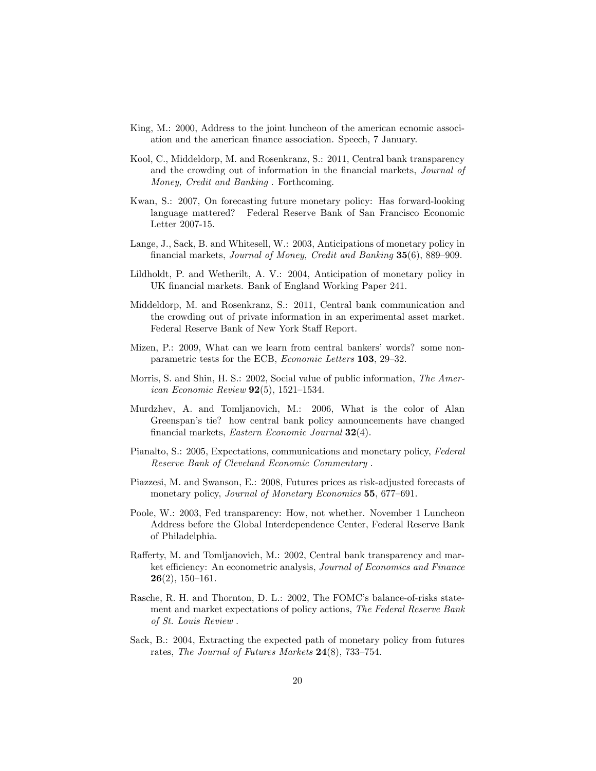- King, M.: 2000, Address to the joint luncheon of the american ecnomic associ-ation and the american finance association. Speech, 7 January.
- Kool, C., Middeldorp, M. and Rosenkranz, S.: 2011, Central bank transparency and the crowding out of information in the financial markets, *Journal of* Money, Credit and Banking . Forthcoming.
- Kwan, S.: 2007, On forecasting future monetary policy: Has forward-looking language mattered? Federal Reserve Bank of San Francisco Economic Letter 2007-15.
- Lange, J., Sack, B. and Whitesell, W.: 2003, Anticipations of monetary policy in financial markets, Journal of Money, Credit and Banking 35(6), 889–909.
- Lildholdt, P. and Wetherilt, A. V.: 2004, Anticipation of monetary policy in UK financial markets. Bank of England Working Paper 241.
- Middeldorp, M. and Rosenkranz, S.: 2011, Central bank communication and the crowding out of private information in an experimental asset market. Federal Reserve Bank of New York Staff Report.
- Mizen, P.: 2009, What can we learn from central bankers' words? some nonparametric tests for the ECB, Economic Letters 103, 29-32.
- Morris, S. and Shin, H. S.: 2002, Social value of public information, The American Economic Review  $92(5)$ , 1521-1534.
- Murdzhev, A. and Tomljanovich, M.: 2006, What is the color of Alan Greenspan's tie? how central bank policy announcements have changed financial markets, Eastern Economic Journal  $32(4)$ .
- Pianalto, S.: 2005, Expectations, communications and monetary policy, Federal Reserve Bank of Cleveland Economic Commentary .
- Piazzesi, M. and Swanson, E.: 2008, Futures prices as risk-adjusted forecasts of monetary policy, Journal of Monetary Economics 55, 677-691.
- Poole, W.: 2003, Fed transparency: How, not whether. November 1 Luncheon Address before the Global Interdependence Center, Federal Reserve Bank of Philadelphia.
- Rafferty, M. and Tomljanovich, M.: 2002, Central bank transparency and market efficiency: An econometric analysis, *Journal of Economics and Finance*  $26(2), 150-161.$
- Rasche, R. H. and Thornton, D. L.: 2002, The FOMC's balance-of-risks statement and market expectations of policy actions, The Federal Reserve Bank of St. Louis Review .
- Sack, B.: 2004, Extracting the expected path of monetary policy from futures rates, The Journal of Futures Markets  $24(8)$ , 733–754.